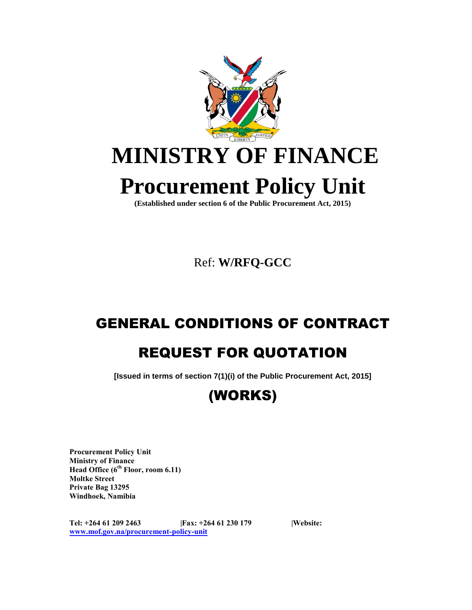

Ref: **W/RFQ-GCC**

## GENERAL CONDITIONS OF CONTRACT

## REQUEST FOR QUOTATION

**[Issued in terms of section 7(1)(i) of the Public Procurement Act, 2015]**

# (WORKS)

**Procurement Policy Unit Ministry of Finance Head Office (6th Floor, room 6.11) Moltke Street Private Bag 13295 Windhoek, Namibia**

**Tel: +264 61 209 2463 |Fax: +264 61 230 179 |Website: [www.mof.gov.na/procurement-policy-unit](http://www.mof.gov.na/procurement-policy-unit)**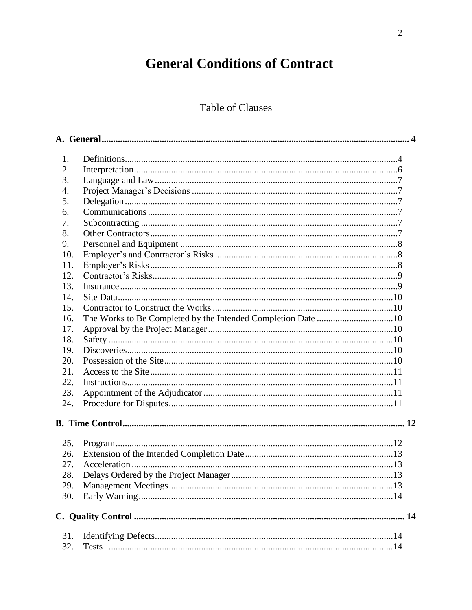## **General Conditions of Contract**

### Table of Clauses

| 1.  |                                                              |  |
|-----|--------------------------------------------------------------|--|
| 2.  |                                                              |  |
| 3.  |                                                              |  |
| 4.  |                                                              |  |
| 5.  |                                                              |  |
| 6.  |                                                              |  |
| 7.  |                                                              |  |
| 8.  |                                                              |  |
| 9.  |                                                              |  |
| 10. |                                                              |  |
| 11. |                                                              |  |
| 12. |                                                              |  |
| 13. |                                                              |  |
| 14. |                                                              |  |
| 15. |                                                              |  |
| 16. | The Works to Be Completed by the Intended Completion Date 10 |  |
| 17. |                                                              |  |
| 18. |                                                              |  |
| 19. |                                                              |  |
| 20. |                                                              |  |
| 21. |                                                              |  |
| 22. |                                                              |  |
| 23. |                                                              |  |
| 24. |                                                              |  |
|     |                                                              |  |
| 25. |                                                              |  |
| 26. |                                                              |  |
| 27. |                                                              |  |
| 28. |                                                              |  |
| 29. |                                                              |  |
| 30. |                                                              |  |
|     |                                                              |  |
|     |                                                              |  |
| 31. |                                                              |  |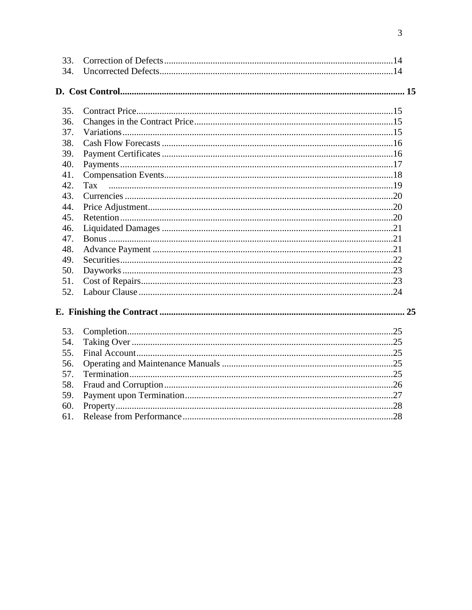| 33. |  |
|-----|--|
| 34. |  |
|     |  |
| 35. |  |
| 36. |  |
| 37. |  |
| 38. |  |
| 39. |  |
| 40. |  |
| 41. |  |
| 42. |  |
| 43. |  |
| 44. |  |
| 45. |  |
| 46. |  |
| 47. |  |
| 48. |  |
| 49. |  |
| 50. |  |
| 51. |  |
| 52. |  |
|     |  |
| 53. |  |
| 54. |  |
| 55. |  |
| 56. |  |
| 57. |  |
| 58. |  |
| 59. |  |
| 60. |  |
| 61. |  |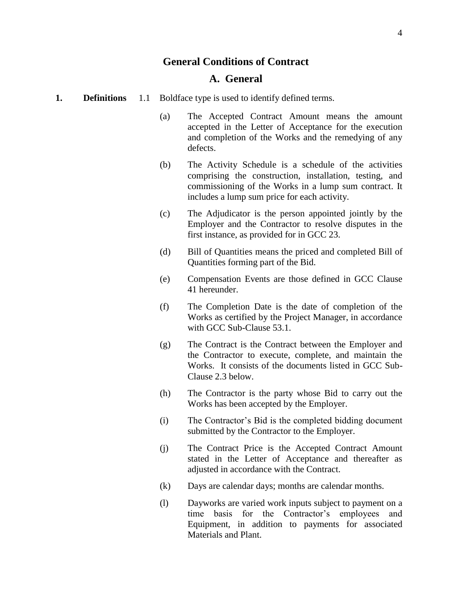### **General Conditions of Contract**

#### **A. General**

- **1. Definitions** 1.1 Boldface type is used to identify defined terms.
	- (a) The Accepted Contract Amount means the amount accepted in the Letter of Acceptance for the execution and completion of the Works and the remedying of any defects.
	- (b) The Activity Schedule is a schedule of the activities comprising the construction, installation, testing, and commissioning of the Works in a lump sum contract. It includes a lump sum price for each activity.
	- (c) The Adjudicator is the person appointed jointly by the Employer and the Contractor to resolve disputes in the first instance, as provided for in GCC 23.
	- (d) Bill of Quantities means the priced and completed Bill of Quantities forming part of the Bid.
	- (e) Compensation Events are those defined in GCC Clause 41 hereunder.
	- (f) The Completion Date is the date of completion of the Works as certified by the Project Manager, in accordance with GCC Sub-Clause 53.1.
	- (g) The Contract is the Contract between the Employer and the Contractor to execute, complete, and maintain the Works. It consists of the documents listed in GCC Sub-Clause 2.3 below.
	- (h) The Contractor is the party whose Bid to carry out the Works has been accepted by the Employer.
	- (i) The Contractor's Bid is the completed bidding document submitted by the Contractor to the Employer.
	- (j) The Contract Price is the Accepted Contract Amount stated in the Letter of Acceptance and thereafter as adjusted in accordance with the Contract.
	- (k) Days are calendar days; months are calendar months.
	- (l) Dayworks are varied work inputs subject to payment on a time basis for the Contractor's employees and Equipment, in addition to payments for associated Materials and Plant.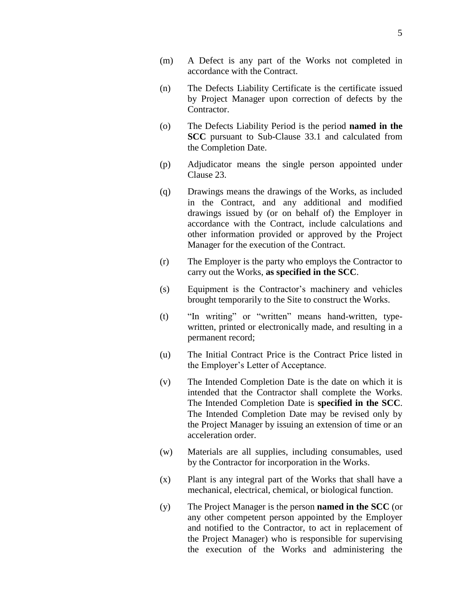- (n) The Defects Liability Certificate is the certificate issued by Project Manager upon correction of defects by the Contractor.
- (o) The Defects Liability Period is the period **named in the SCC** pursuant to Sub-Clause 33.1 and calculated from the Completion Date.
- (p) Adjudicator means the single person appointed under Clause 23.
- (q) Drawings means the drawings of the Works, as included in the Contract, and any additional and modified drawings issued by (or on behalf of) the Employer in accordance with the Contract, include calculations and other information provided or approved by the Project Manager for the execution of the Contract.
- (r) The Employer is the party who employs the Contractor to carry out the Works, **as specified in the SCC**.
- (s) Equipment is the Contractor's machinery and vehicles brought temporarily to the Site to construct the Works.
- (t) "In writing" or "written" means hand-written, typewritten, printed or electronically made, and resulting in a permanent record;
- (u) The Initial Contract Price is the Contract Price listed in the Employer's Letter of Acceptance.
- (v) The Intended Completion Date is the date on which it is intended that the Contractor shall complete the Works. The Intended Completion Date is **specified in the SCC**. The Intended Completion Date may be revised only by the Project Manager by issuing an extension of time or an acceleration order.
- (w) Materials are all supplies, including consumables, used by the Contractor for incorporation in the Works.
- (x) Plant is any integral part of the Works that shall have a mechanical, electrical, chemical, or biological function.
- (y) The Project Manager is the person **named in the SCC** (or any other competent person appointed by the Employer and notified to the Contractor, to act in replacement of the Project Manager) who is responsible for supervising the execution of the Works and administering the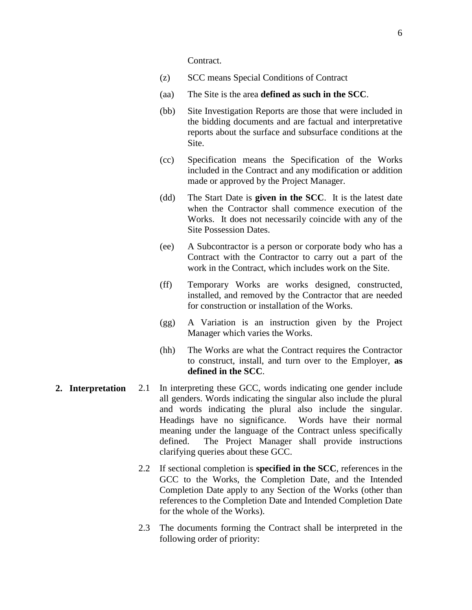Contract.

- (z) SCC means Special Conditions of Contract
- (aa) The Site is the area **defined as such in the SCC**.
- (bb) Site Investigation Reports are those that were included in the bidding documents and are factual and interpretative reports about the surface and subsurface conditions at the Site.
- (cc) Specification means the Specification of the Works included in the Contract and any modification or addition made or approved by the Project Manager.
- (dd) The Start Date is **given in the SCC**. It is the latest date when the Contractor shall commence execution of the Works. It does not necessarily coincide with any of the Site Possession Dates.
- (ee) A Subcontractor is a person or corporate body who has a Contract with the Contractor to carry out a part of the work in the Contract, which includes work on the Site.
- (ff) Temporary Works are works designed, constructed, installed, and removed by the Contractor that are needed for construction or installation of the Works.
- (gg) A Variation is an instruction given by the Project Manager which varies the Works.
- (hh) The Works are what the Contract requires the Contractor to construct, install, and turn over to the Employer, **as defined in the SCC**.
- **2. Interpretation** 2.1 In interpreting these GCC, words indicating one gender include all genders. Words indicating the singular also include the plural and words indicating the plural also include the singular. Headings have no significance. Words have their normal meaning under the language of the Contract unless specifically defined. The Project Manager shall provide instructions clarifying queries about these GCC.
	- 2.2 If sectional completion is **specified in the SCC**, references in the GCC to the Works, the Completion Date, and the Intended Completion Date apply to any Section of the Works (other than references to the Completion Date and Intended Completion Date for the whole of the Works).
	- 2.3 The documents forming the Contract shall be interpreted in the following order of priority: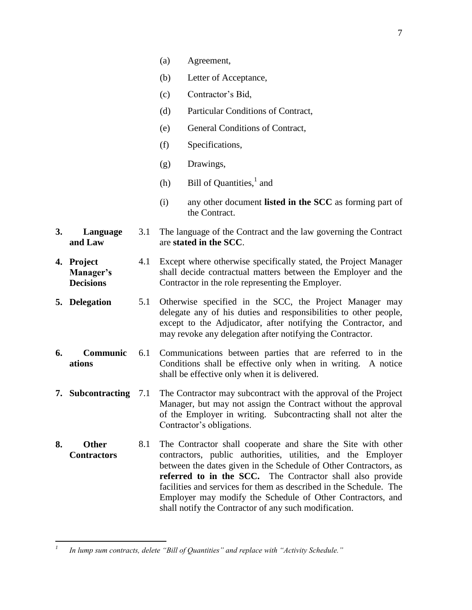- (a) Agreement,
- (b) Letter of Acceptance,
- (c) Contractor's Bid,
- (d) Particular Conditions of Contract,
- (e) General Conditions of Contract,
- (f) Specifications,
- (g) Drawings,
- (h) Bill of Quantities,  $\frac{1}{1}$  and
- (i) any other document **listed in the SCC** as forming part of the Contract.
- **3. Language and Law** 3.1 The language of the Contract and the law governing the Contract are **stated in the SCC**.
- **4. Project Manager's Decisions** 4.1 Except where otherwise specifically stated, the Project Manager shall decide contractual matters between the Employer and the Contractor in the role representing the Employer.
- **5. Delegation** 5.1 Otherwise specified in the SCC, the Project Manager may delegate any of his duties and responsibilities to other people, except to the Adjudicator, after notifying the Contractor, and may revoke any delegation after notifying the Contractor.
- **6. Communic ations** 6.1 Communications between parties that are referred to in the Conditions shall be effective only when in writing. A notice shall be effective only when it is delivered.
- **7. Subcontracting** 7.1 The Contractor may subcontract with the approval of the Project Manager, but may not assign the Contract without the approval of the Employer in writing. Subcontracting shall not alter the Contractor's obligations.
- **8. Other Contractors** 8.1 The Contractor shall cooperate and share the Site with other contractors, public authorities, utilities, and the Employer between the dates given in the Schedule of Other Contractors, as **referred to in the SCC.** The Contractor shall also provide facilities and services for them as described in the Schedule. The Employer may modify the Schedule of Other Contractors, and shall notify the Contractor of any such modification.

 $\overline{a}$ 

*<sup>1</sup> In lump sum contracts, delete "Bill of Quantities" and replace with "Activity Schedule."*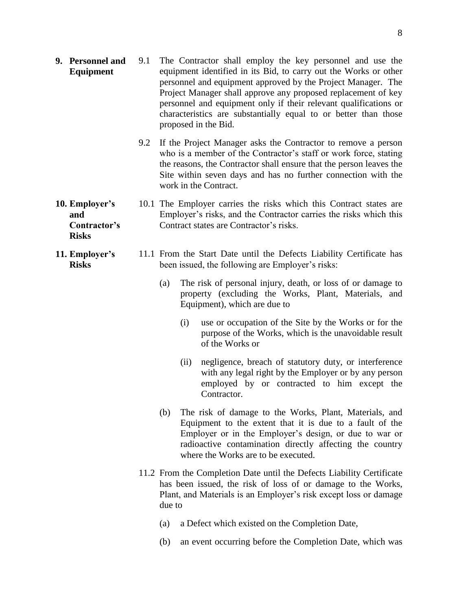- **9. Personnel and Equipment** 9.1 The Contractor shall employ the key personnel and use the equipment identified in its Bid, to carry out the Works or other personnel and equipment approved by the Project Manager. The Project Manager shall approve any proposed replacement of key personnel and equipment only if their relevant qualifications or characteristics are substantially equal to or better than those proposed in the Bid.
	- 9.2 If the Project Manager asks the Contractor to remove a person who is a member of the Contractor's staff or work force, stating the reasons, the Contractor shall ensure that the person leaves the Site within seven days and has no further connection with the work in the Contract.
- **10. Employer's and Contractor's**  10.1 The Employer carries the risks which this Contract states are Employer's risks, and the Contractor carries the risks which this Contract states are Contractor's risks.
	- 11.1 From the Start Date until the Defects Liability Certificate has been issued, the following are Employer's risks:
		- (a) The risk of personal injury, death, or loss of or damage to property (excluding the Works, Plant, Materials, and Equipment), which are due to
			- (i) use or occupation of the Site by the Works or for the purpose of the Works, which is the unavoidable result of the Works or
			- (ii) negligence, breach of statutory duty, or interference with any legal right by the Employer or by any person employed by or contracted to him except the Contractor.
		- (b) The risk of damage to the Works, Plant, Materials, and Equipment to the extent that it is due to a fault of the Employer or in the Employer's design, or due to war or radioactive contamination directly affecting the country where the Works are to be executed.
		- 11.2 From the Completion Date until the Defects Liability Certificate has been issued, the risk of loss of or damage to the Works, Plant, and Materials is an Employer's risk except loss or damage due to
			- (a) a Defect which existed on the Completion Date,
			- (b) an event occurring before the Completion Date, which was

**Risks**

**11. Employer's Risks**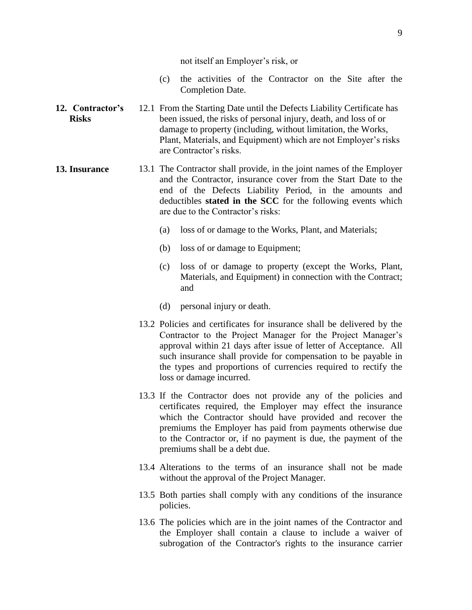not itself an Employer's risk, or

- (c) the activities of the Contractor on the Site after the Completion Date.
- **12. Contractor's Risks** 12.1 From the Starting Date until the Defects Liability Certificate has been issued, the risks of personal injury, death, and loss of or damage to property (including, without limitation, the Works, Plant, Materials, and Equipment) which are not Employer's risks are Contractor's risks.
- **13. Insurance** 13.1 The Contractor shall provide, in the joint names of the Employer and the Contractor, insurance cover from the Start Date to the end of the Defects Liability Period, in the amounts and deductibles **stated in the SCC** for the following events which are due to the Contractor's risks:
	- (a) loss of or damage to the Works, Plant, and Materials;
	- (b) loss of or damage to Equipment;
	- (c) loss of or damage to property (except the Works, Plant, Materials, and Equipment) in connection with the Contract; and
	- (d) personal injury or death.
	- 13.2 Policies and certificates for insurance shall be delivered by the Contractor to the Project Manager for the Project Manager's approval within 21 days after issue of letter of Acceptance. All such insurance shall provide for compensation to be payable in the types and proportions of currencies required to rectify the loss or damage incurred.
	- 13.3 If the Contractor does not provide any of the policies and certificates required, the Employer may effect the insurance which the Contractor should have provided and recover the premiums the Employer has paid from payments otherwise due to the Contractor or, if no payment is due, the payment of the premiums shall be a debt due.
	- 13.4 Alterations to the terms of an insurance shall not be made without the approval of the Project Manager.
	- 13.5 Both parties shall comply with any conditions of the insurance policies.
	- 13.6 The policies which are in the joint names of the Contractor and the Employer shall contain a clause to include a waiver of subrogation of the Contractor's rights to the insurance carrier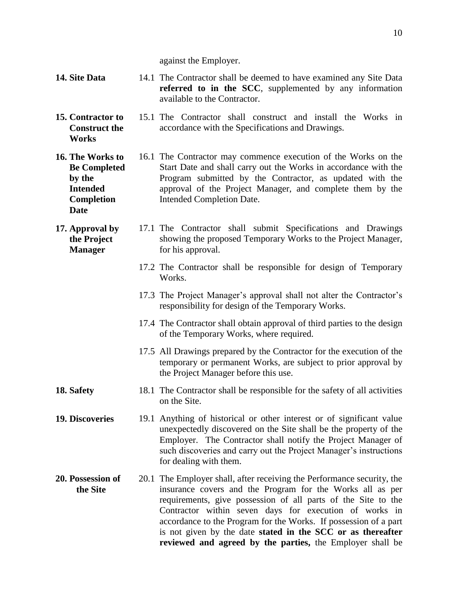against the Employer.

- **14. Site Data** 14.1 The Contractor shall be deemed to have examined any Site Data **referred to in the SCC**, supplemented by any information available to the Contractor.
- **15. Contractor to Construct the Works** 15.1 The Contractor shall construct and install the Works in accordance with the Specifications and Drawings.
- **16. The Works to Be Completed by the Intended Completion Date** 16.1 The Contractor may commence execution of the Works on the Start Date and shall carry out the Works in accordance with the Program submitted by the Contractor, as updated with the approval of the Project Manager, and complete them by the Intended Completion Date.
- **17. Approval by the Project Manager** 17.1 The Contractor shall submit Specifications and Drawings showing the proposed Temporary Works to the Project Manager, for his approval.
	- 17.2 The Contractor shall be responsible for design of Temporary Works.
	- 17.3 The Project Manager's approval shall not alter the Contractor's responsibility for design of the Temporary Works.
	- 17.4 The Contractor shall obtain approval of third parties to the design of the Temporary Works, where required.
	- 17.5 All Drawings prepared by the Contractor for the execution of the temporary or permanent Works, are subject to prior approval by the Project Manager before this use.
- **18. Safety** 18.1 The Contractor shall be responsible for the safety of all activities on the Site.
- **19. Discoveries** 19.1 Anything of historical or other interest or of significant value unexpectedly discovered on the Site shall be the property of the Employer. The Contractor shall notify the Project Manager of such discoveries and carry out the Project Manager's instructions for dealing with them.
- **20. Possession of the Site** 20.1 The Employer shall, after receiving the Performance security, the insurance covers and the Program for the Works all as per requirements, give possession of all parts of the Site to the Contractor within seven days for execution of works in accordance to the Program for the Works. If possession of a part is not given by the date **stated in the SCC or as thereafter reviewed and agreed by the parties,** the Employer shall be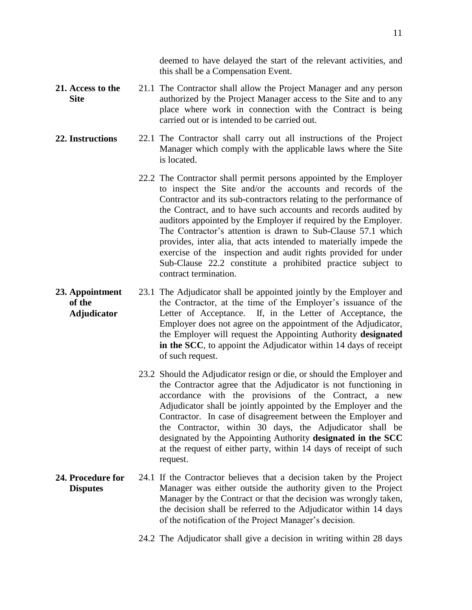deemed to have delayed the start of the relevant activities, and this shall be a Compensation Event.

- **21. Access to the Site** 21.1 The Contractor shall allow the Project Manager and any person authorized by the Project Manager access to the Site and to any place where work in connection with the Contract is being carried out or is intended to be carried out.
- **22. Instructions** 22.1 The Contractor shall carry out all instructions of the Project Manager which comply with the applicable laws where the Site is located.
	- 22.2 The Contractor shall permit persons appointed by the Employer to inspect the Site and/or the accounts and records of the Contractor and its sub-contractors relating to the performance of the Contract, and to have such accounts and records audited by auditors appointed by the Employer if required by the Employer. The Contractor's attention is drawn to Sub-Clause 57.1 which provides, inter alia, that acts intended to materially impede the exercise of the inspection and audit rights provided for under Sub-Clause 22.2 constitute a prohibited practice subject to contract termination.
- **23. Appointment of the Adjudicator** 23.1 The Adjudicator shall be appointed jointly by the Employer and the Contractor, at the time of the Employer's issuance of the Letter of Acceptance. If, in the Letter of Acceptance, the Employer does not agree on the appointment of the Adjudicator, the Employer will request the Appointing Authority **designated in the SCC**, to appoint the Adjudicator within 14 days of receipt of such request.
	- 23.2 Should the Adjudicator resign or die, or should the Employer and the Contractor agree that the Adjudicator is not functioning in accordance with the provisions of the Contract, a new Adjudicator shall be jointly appointed by the Employer and the Contractor. In case of disagreement between the Employer and the Contractor, within 30 days, the Adjudicator shall be designated by the Appointing Authority **designated in the SCC** at the request of either party, within 14 days of receipt of such request.
- **24. Procedure for Disputes** 24.1 If the Contractor believes that a decision taken by the Project Manager was either outside the authority given to the Project Manager by the Contract or that the decision was wrongly taken, the decision shall be referred to the Adjudicator within 14 days of the notification of the Project Manager's decision.
	- 24.2 The Adjudicator shall give a decision in writing within 28 days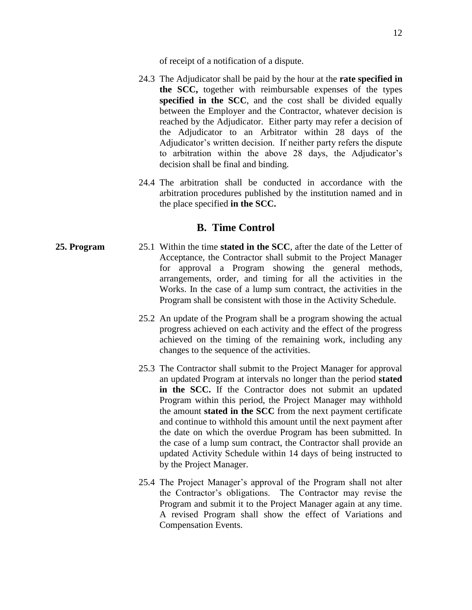of receipt of a notification of a dispute.

- 24.3 The Adjudicator shall be paid by the hour at the **rate specified in the SCC,** together with reimbursable expenses of the types **specified in the SCC**, and the cost shall be divided equally between the Employer and the Contractor, whatever decision is reached by the Adjudicator. Either party may refer a decision of the Adjudicator to an Arbitrator within 28 days of the Adjudicator's written decision. If neither party refers the dispute to arbitration within the above 28 days, the Adjudicator's decision shall be final and binding.
- 24.4 The arbitration shall be conducted in accordance with the arbitration procedures published by the institution named and in the place specified **in the SCC.**

#### **B. Time Control**

- **25. Program** 25.1 Within the time **stated in the SCC**, after the date of the Letter of Acceptance, the Contractor shall submit to the Project Manager for approval a Program showing the general methods, arrangements, order, and timing for all the activities in the Works. In the case of a lump sum contract, the activities in the Program shall be consistent with those in the Activity Schedule.
	- 25.2 An update of the Program shall be a program showing the actual progress achieved on each activity and the effect of the progress achieved on the timing of the remaining work, including any changes to the sequence of the activities.
	- 25.3 The Contractor shall submit to the Project Manager for approval an updated Program at intervals no longer than the period **stated in the SCC.** If the Contractor does not submit an updated Program within this period, the Project Manager may withhold the amount **stated in the SCC** from the next payment certificate and continue to withhold this amount until the next payment after the date on which the overdue Program has been submitted. In the case of a lump sum contract, the Contractor shall provide an updated Activity Schedule within 14 days of being instructed to by the Project Manager.
	- 25.4 The Project Manager's approval of the Program shall not alter the Contractor's obligations. The Contractor may revise the Program and submit it to the Project Manager again at any time. A revised Program shall show the effect of Variations and Compensation Events.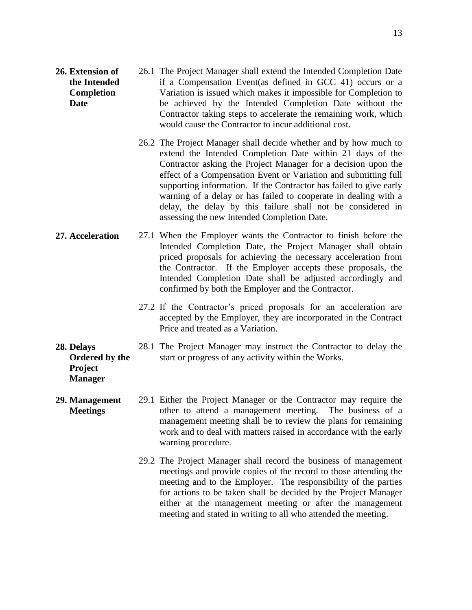- **26. Extension of the Intended Completion Date** 26.1 The Project Manager shall extend the Intended Completion Date if a Compensation Event(as defined in GCC 41) occurs or a Variation is issued which makes it impossible for Completion to be achieved by the Intended Completion Date without the Contractor taking steps to accelerate the remaining work, which would cause the Contractor to incur additional cost.
	- 26.2 The Project Manager shall decide whether and by how much to extend the Intended Completion Date within 21 days of the Contractor asking the Project Manager for a decision upon the effect of a Compensation Event or Variation and submitting full supporting information. If the Contractor has failed to give early warning of a delay or has failed to cooperate in dealing with a delay, the delay by this failure shall not be considered in assessing the new Intended Completion Date.
- **27. Acceleration** 27.1 When the Employer wants the Contractor to finish before the Intended Completion Date, the Project Manager shall obtain priced proposals for achieving the necessary acceleration from the Contractor. If the Employer accepts these proposals, the Intended Completion Date shall be adjusted accordingly and confirmed by both the Employer and the Contractor.
	- 27.2 If the Contractor's priced proposals for an acceleration are accepted by the Employer, they are incorporated in the Contract Price and treated as a Variation.
- **28. Delays Ordered by the**  28.1 The Project Manager may instruct the Contractor to delay the start or progress of any activity within the Works.
	- **Project Manager**
- **29. Management Meetings** 29.1 Either the Project Manager or the Contractor may require the other to attend a management meeting. The business of a management meeting shall be to review the plans for remaining work and to deal with matters raised in accordance with the early warning procedure.
	- 29.2 The Project Manager shall record the business of management meetings and provide copies of the record to those attending the meeting and to the Employer. The responsibility of the parties for actions to be taken shall be decided by the Project Manager either at the management meeting or after the management meeting and stated in writing to all who attended the meeting.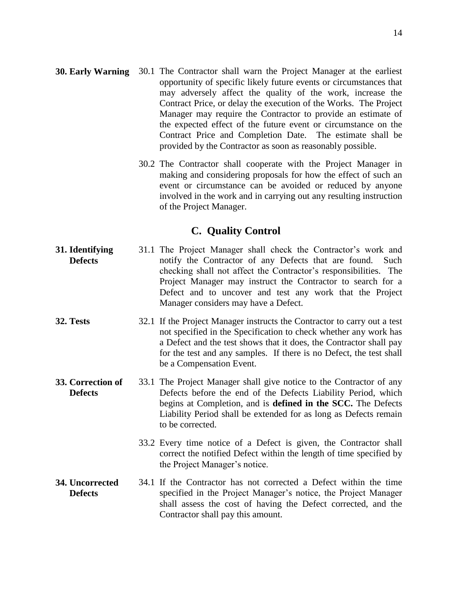- **30. Early Warning** 30.1 The Contractor shall warn the Project Manager at the earliest opportunity of specific likely future events or circumstances that may adversely affect the quality of the work, increase the Contract Price, or delay the execution of the Works. The Project Manager may require the Contractor to provide an estimate of the expected effect of the future event or circumstance on the Contract Price and Completion Date. The estimate shall be provided by the Contractor as soon as reasonably possible.
	- 30.2 The Contractor shall cooperate with the Project Manager in making and considering proposals for how the effect of such an event or circumstance can be avoided or reduced by anyone involved in the work and in carrying out any resulting instruction of the Project Manager.

### **C. Quality Control**

- **31. Identifying Defects** 31.1 The Project Manager shall check the Contractor's work and notify the Contractor of any Defects that are found. Such checking shall not affect the Contractor's responsibilities. The Project Manager may instruct the Contractor to search for a Defect and to uncover and test any work that the Project Manager considers may have a Defect.
- **32. Tests** 32.1 If the Project Manager instructs the Contractor to carry out a test not specified in the Specification to check whether any work has a Defect and the test shows that it does, the Contractor shall pay for the test and any samples. If there is no Defect, the test shall be a Compensation Event.
- **33. Correction of Defects** 33.1 The Project Manager shall give notice to the Contractor of any Defects before the end of the Defects Liability Period, which begins at Completion, and is **defined in the SCC.** The Defects Liability Period shall be extended for as long as Defects remain to be corrected.
	- 33.2 Every time notice of a Defect is given, the Contractor shall correct the notified Defect within the length of time specified by the Project Manager's notice.
- **34. Uncorrected Defects** 34.1 If the Contractor has not corrected a Defect within the time specified in the Project Manager's notice, the Project Manager shall assess the cost of having the Defect corrected, and the Contractor shall pay this amount.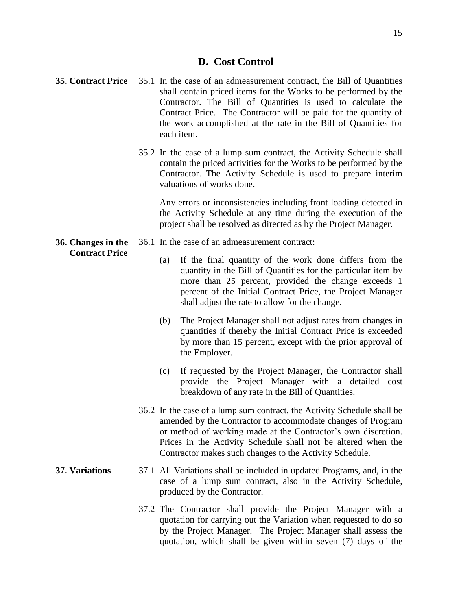#### **D. Cost Control**

- **35. Contract Price** 35.1 In the case of an admeasurement contract, the Bill of Quantities shall contain priced items for the Works to be performed by the Contractor. The Bill of Quantities is used to calculate the Contract Price. The Contractor will be paid for the quantity of the work accomplished at the rate in the Bill of Quantities for each item.
	- 35.2 In the case of a lump sum contract, the Activity Schedule shall contain the priced activities for the Works to be performed by the Contractor. The Activity Schedule is used to prepare interim valuations of works done.

Any errors or inconsistencies including front loading detected in the Activity Schedule at any time during the execution of the project shall be resolved as directed as by the Project Manager.

**36. Changes in the**  36.1 In the case of an admeasurement contract:

**Contract Price**

- (a) If the final quantity of the work done differs from the quantity in the Bill of Quantities for the particular item by more than 25 percent, provided the change exceeds 1 percent of the Initial Contract Price, the Project Manager shall adjust the rate to allow for the change.
- (b) The Project Manager shall not adjust rates from changes in quantities if thereby the Initial Contract Price is exceeded by more than 15 percent, except with the prior approval of the Employer.
- (c) If requested by the Project Manager, the Contractor shall provide the Project Manager with a detailed cost breakdown of any rate in the Bill of Quantities.
- 36.2 In the case of a lump sum contract, the Activity Schedule shall be amended by the Contractor to accommodate changes of Program or method of working made at the Contractor's own discretion. Prices in the Activity Schedule shall not be altered when the Contractor makes such changes to the Activity Schedule.
- **37. Variations** 37.1 All Variations shall be included in updated Programs, and, in the case of a lump sum contract, also in the Activity Schedule, produced by the Contractor.
	- 37.2 The Contractor shall provide the Project Manager with a quotation for carrying out the Variation when requested to do so by the Project Manager. The Project Manager shall assess the quotation, which shall be given within seven (7) days of the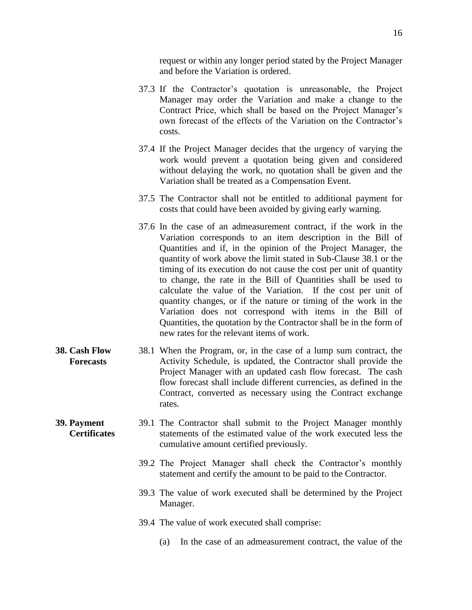request or within any longer period stated by the Project Manager and before the Variation is ordered.

- 37.3 If the Contractor's quotation is unreasonable, the Project Manager may order the Variation and make a change to the Contract Price, which shall be based on the Project Manager's own forecast of the effects of the Variation on the Contractor's costs.
- 37.4 If the Project Manager decides that the urgency of varying the work would prevent a quotation being given and considered without delaying the work, no quotation shall be given and the Variation shall be treated as a Compensation Event.
- 37.5 The Contractor shall not be entitled to additional payment for costs that could have been avoided by giving early warning.
- 37.6 In the case of an admeasurement contract, if the work in the Variation corresponds to an item description in the Bill of Quantities and if, in the opinion of the Project Manager, the quantity of work above the limit stated in Sub-Clause 38.1 or the timing of its execution do not cause the cost per unit of quantity to change, the rate in the Bill of Quantities shall be used to calculate the value of the Variation. If the cost per unit of quantity changes, or if the nature or timing of the work in the Variation does not correspond with items in the Bill of Quantities, the quotation by the Contractor shall be in the form of new rates for the relevant items of work.
- **38. Cash Flow Forecasts** 38.1 When the Program, or, in the case of a lump sum contract, the Activity Schedule, is updated, the Contractor shall provide the Project Manager with an updated cash flow forecast. The cash flow forecast shall include different currencies, as defined in the Contract, converted as necessary using the Contract exchange rates.
- **39. Payment Certificates** 39.1 The Contractor shall submit to the Project Manager monthly statements of the estimated value of the work executed less the cumulative amount certified previously.
	- 39.2 The Project Manager shall check the Contractor's monthly statement and certify the amount to be paid to the Contractor.
	- 39.3 The value of work executed shall be determined by the Project Manager.
	- 39.4 The value of work executed shall comprise:
		- (a) In the case of an admeasurement contract, the value of the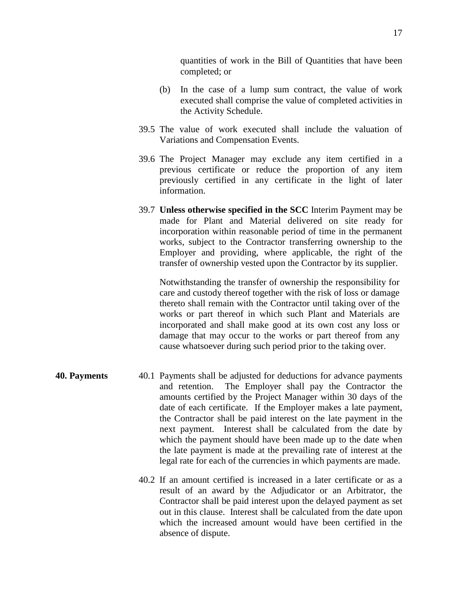quantities of work in the Bill of Quantities that have been completed; or

- (b) In the case of a lump sum contract, the value of work executed shall comprise the value of completed activities in the Activity Schedule.
- 39.5 The value of work executed shall include the valuation of Variations and Compensation Events.
- 39.6 The Project Manager may exclude any item certified in a previous certificate or reduce the proportion of any item previously certified in any certificate in the light of later information.
- 39.7 **Unless otherwise specified in the SCC** Interim Payment may be made for Plant and Material delivered on site ready for incorporation within reasonable period of time in the permanent works, subject to the Contractor transferring ownership to the Employer and providing, where applicable, the right of the transfer of ownership vested upon the Contractor by its supplier.

Notwithstanding the transfer of ownership the responsibility for care and custody thereof together with the risk of loss or damage thereto shall remain with the Contractor until taking over of the works or part thereof in which such Plant and Materials are incorporated and shall make good at its own cost any loss or damage that may occur to the works or part thereof from any cause whatsoever during such period prior to the taking over.

- **40. Payments** 40.1 Payments shall be adjusted for deductions for advance payments and retention. The Employer shall pay the Contractor the amounts certified by the Project Manager within 30 days of the date of each certificate. If the Employer makes a late payment, the Contractor shall be paid interest on the late payment in the next payment. Interest shall be calculated from the date by which the payment should have been made up to the date when the late payment is made at the prevailing rate of interest at the legal rate for each of the currencies in which payments are made.
	- 40.2 If an amount certified is increased in a later certificate or as a result of an award by the Adjudicator or an Arbitrator, the Contractor shall be paid interest upon the delayed payment as set out in this clause. Interest shall be calculated from the date upon which the increased amount would have been certified in the absence of dispute.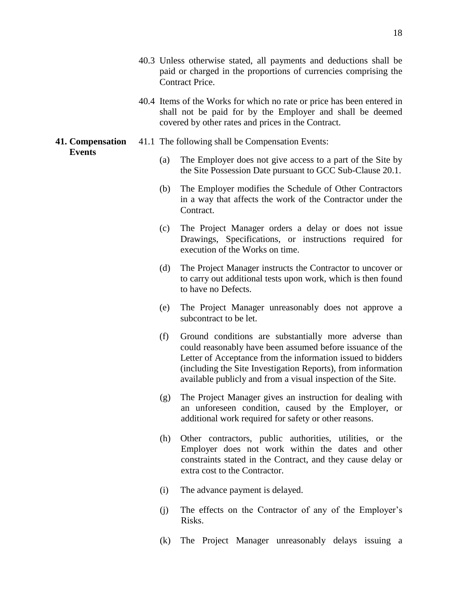- 40.3 Unless otherwise stated, all payments and deductions shall be paid or charged in the proportions of currencies comprising the Contract Price.
- 40.4 Items of the Works for which no rate or price has been entered in shall not be paid for by the Employer and shall be deemed covered by other rates and prices in the Contract.
- **41. Compensation**  41.1 The following shall be Compensation Events:

#### **Events**

- (a) The Employer does not give access to a part of the Site by the Site Possession Date pursuant to GCC Sub-Clause 20.1.
- (b) The Employer modifies the Schedule of Other Contractors in a way that affects the work of the Contractor under the Contract.
- (c) The Project Manager orders a delay or does not issue Drawings, Specifications, or instructions required for execution of the Works on time.
- (d) The Project Manager instructs the Contractor to uncover or to carry out additional tests upon work, which is then found to have no Defects.
- (e) The Project Manager unreasonably does not approve a subcontract to be let.
- (f) Ground conditions are substantially more adverse than could reasonably have been assumed before issuance of the Letter of Acceptance from the information issued to bidders (including the Site Investigation Reports), from information available publicly and from a visual inspection of the Site.
- (g) The Project Manager gives an instruction for dealing with an unforeseen condition, caused by the Employer, or additional work required for safety or other reasons.
- (h) Other contractors, public authorities, utilities, or the Employer does not work within the dates and other constraints stated in the Contract, and they cause delay or extra cost to the Contractor.
- (i) The advance payment is delayed.
- (j) The effects on the Contractor of any of the Employer's Risks.
- (k) The Project Manager unreasonably delays issuing a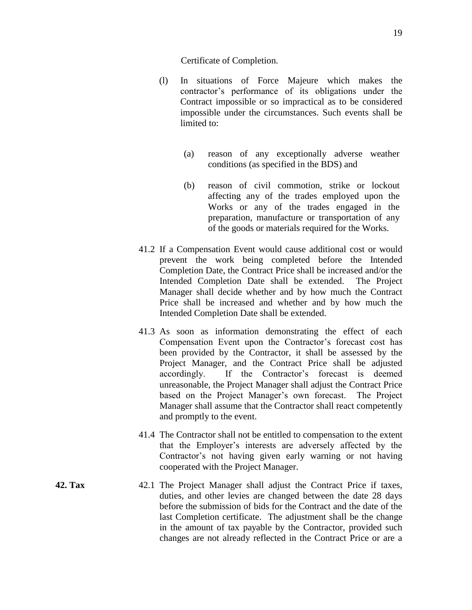- (l) In situations of Force Majeure which makes the contractor's performance of its obligations under the Contract impossible or so impractical as to be considered impossible under the circumstances. Such events shall be limited to:
	- (a) reason of any exceptionally adverse weather conditions (as specified in the BDS) and
	- (b) reason of civil commotion, strike or lockout affecting any of the trades employed upon the Works or any of the trades engaged in the preparation, manufacture or transportation of any of the goods or materials required for the Works.
- 41.2 If a Compensation Event would cause additional cost or would prevent the work being completed before the Intended Completion Date, the Contract Price shall be increased and/or the Intended Completion Date shall be extended. The Project Manager shall decide whether and by how much the Contract Price shall be increased and whether and by how much the Intended Completion Date shall be extended.
- 41.3 As soon as information demonstrating the effect of each Compensation Event upon the Contractor's forecast cost has been provided by the Contractor, it shall be assessed by the Project Manager, and the Contract Price shall be adjusted accordingly. If the Contractor's forecast is deemed unreasonable, the Project Manager shall adjust the Contract Price based on the Project Manager's own forecast. The Project Manager shall assume that the Contractor shall react competently and promptly to the event.
- 41.4 The Contractor shall not be entitled to compensation to the extent that the Employer's interests are adversely affected by the Contractor's not having given early warning or not having cooperated with the Project Manager.
- **42. Tax** 42.1 The Project Manager shall adjust the Contract Price if taxes, duties, and other levies are changed between the date 28 days before the submission of bids for the Contract and the date of the last Completion certificate. The adjustment shall be the change in the amount of tax payable by the Contractor, provided such changes are not already reflected in the Contract Price or are a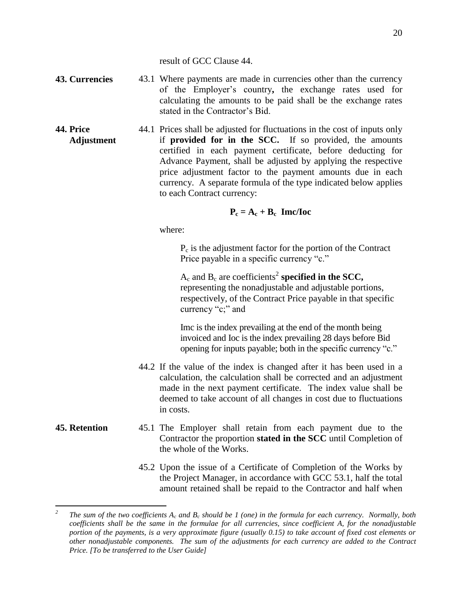result of GCC Clause 44.

- **43. Currencies** 43.1 Where payments are made in currencies other than the currency of the Employer's country**,** the exchange rates used for calculating the amounts to be paid shall be the exchange rates stated in the Contractor's Bid.
- **44. Price Adjustment** 44.1 Prices shall be adjusted for fluctuations in the cost of inputs only if **provided for in the SCC.** If so provided, the amounts certified in each payment certificate, before deducting for Advance Payment, shall be adjusted by applying the respective price adjustment factor to the payment amounts due in each currency. A separate formula of the type indicated below applies to each Contract currency:

#### $P_c = A_c + B_c$ **Imc/Ioc**

where:

 $P_c$  is the adjustment factor for the portion of the Contract Price payable in a specific currency "c."

 $A_c$  and  $B_c$  are coefficients<sup>2</sup> s**pecified in the SCC,** representing the nonadjustable and adjustable portions, respectively, of the Contract Price payable in that specific currency "c;" and

Imc is the index prevailing at the end of the month being invoiced and Ioc is the index prevailing 28 days before Bid opening for inputs payable; both in the specific currency "c."

- 44.2 If the value of the index is changed after it has been used in a calculation, the calculation shall be corrected and an adjustment made in the next payment certificate. The index value shall be deemed to take account of all changes in cost due to fluctuations in costs.
- **45. Retention** 45.1 The Employer shall retain from each payment due to the Contractor the proportion **stated in the SCC** until Completion of the whole of the Works.
	- 45.2 Upon the issue of a Certificate of Completion of the Works by the Project Manager, in accordance with GCC 53.1, half the total amount retained shall be repaid to the Contractor and half when

 *2 The sum of the two coefficients*  $A_c$  *and*  $B_c$  *should be 1 (one) in the formula for each currency. Normally, both coefficients shall be the same in the formulae for all currencies, since coefficient A, for the nonadjustable portion of the payments, is a very approximate figure (usually 0.15) to take account of fixed cost elements or other nonadjustable components. The sum of the adjustments for each currency are added to the Contract Price. [To be transferred to the User Guide]*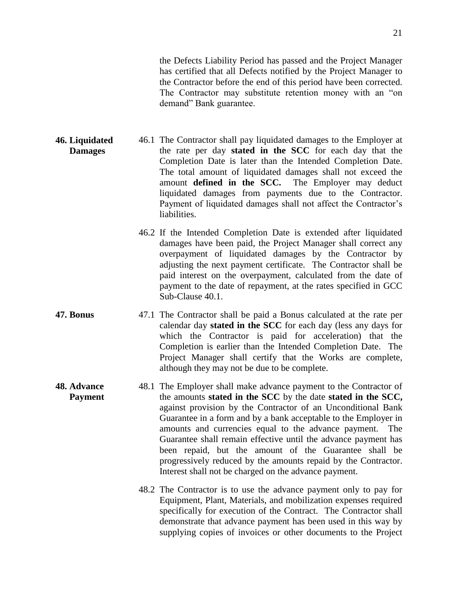the Defects Liability Period has passed and the Project Manager has certified that all Defects notified by the Project Manager to the Contractor before the end of this period have been corrected. The Contractor may substitute retention money with an "on demand" Bank guarantee.

- **46. Liquidated Damages** 46.1 The Contractor shall pay liquidated damages to the Employer at the rate per day **stated in the SCC** for each day that the Completion Date is later than the Intended Completion Date. The total amount of liquidated damages shall not exceed the amount **defined in the SCC.** The Employer may deduct liquidated damages from payments due to the Contractor. Payment of liquidated damages shall not affect the Contractor's liabilities.
	- 46.2 If the Intended Completion Date is extended after liquidated damages have been paid, the Project Manager shall correct any overpayment of liquidated damages by the Contractor by adjusting the next payment certificate. The Contractor shall be paid interest on the overpayment, calculated from the date of payment to the date of repayment, at the rates specified in GCC Sub-Clause 40.1.
- **47. Bonus** 47.1 The Contractor shall be paid a Bonus calculated at the rate per calendar day **stated in the SCC** for each day (less any days for which the Contractor is paid for acceleration) that the Completion is earlier than the Intended Completion Date. The Project Manager shall certify that the Works are complete, although they may not be due to be complete.
- **48. Advance Payment** 48.1 The Employer shall make advance payment to the Contractor of the amounts **stated in the SCC** by the date **stated in the SCC,**  against provision by the Contractor of an Unconditional Bank Guarantee in a form and by a bank acceptable to the Employer in amounts and currencies equal to the advance payment. The Guarantee shall remain effective until the advance payment has been repaid, but the amount of the Guarantee shall be progressively reduced by the amounts repaid by the Contractor. Interest shall not be charged on the advance payment.
	- 48.2 The Contractor is to use the advance payment only to pay for Equipment, Plant, Materials, and mobilization expenses required specifically for execution of the Contract. The Contractor shall demonstrate that advance payment has been used in this way by supplying copies of invoices or other documents to the Project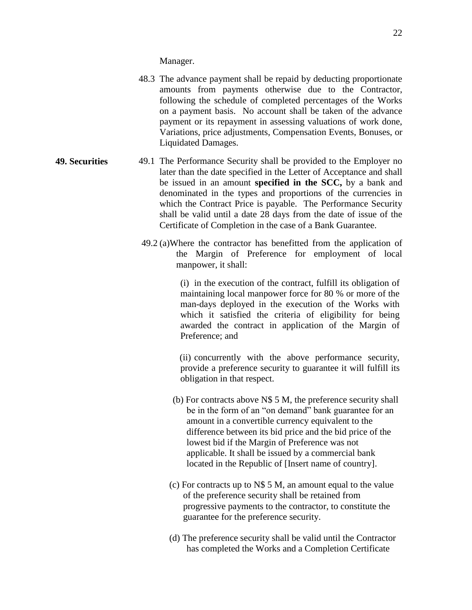Manager.

- 48.3 The advance payment shall be repaid by deducting proportionate amounts from payments otherwise due to the Contractor, following the schedule of completed percentages of the Works on a payment basis. No account shall be taken of the advance payment or its repayment in assessing valuations of work done, Variations, price adjustments, Compensation Events, Bonuses, or Liquidated Damages.
- **49. Securities** 49.1 The Performance Security shall be provided to the Employer no later than the date specified in the Letter of Acceptance and shall be issued in an amount **specified in the SCC,** by a bank and denominated in the types and proportions of the currencies in which the Contract Price is payable. The Performance Security shall be valid until a date 28 days from the date of issue of the Certificate of Completion in the case of a Bank Guarantee.
	- 49.2 (a)Where the contractor has benefitted from the application of the Margin of Preference for employment of local manpower, it shall:

(i) in the execution of the contract, fulfill its obligation of maintaining local manpower force for 80 % or more of the man-days deployed in the execution of the Works with which it satisfied the criteria of eligibility for being awarded the contract in application of the Margin of Preference; and

(ii) concurrently with the above performance security, provide a preference security to guarantee it will fulfill its obligation in that respect.

- (b) For contracts above N\$ 5 M, the preference security shall be in the form of an "on demand" bank guarantee for an amount in a convertible currency equivalent to the difference between its bid price and the bid price of the lowest bid if the Margin of Preference was not applicable. It shall be issued by a commercial bank located in the Republic of [Insert name of country].
- (c) For contracts up to N\$ 5 M, an amount equal to the value of the preference security shall be retained from progressive payments to the contractor, to constitute the guarantee for the preference security.
- (d) The preference security shall be valid until the Contractor has completed the Works and a Completion Certificate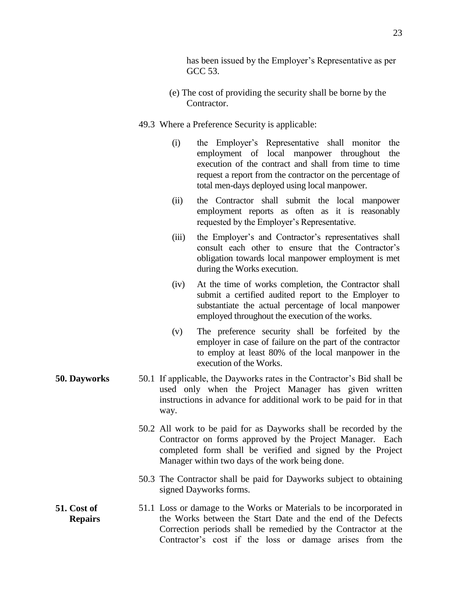has been issued by the Employer's Representative as per GCC 53.

- (e) The cost of providing the security shall be borne by the Contractor.
- 49.3 Where a Preference Security is applicable:
	- (i) the Employer's Representative shall monitor the employment of local manpower throughout the execution of the contract and shall from time to time request a report from the contractor on the percentage of total men-days deployed using local manpower.
	- (ii) the Contractor shall submit the local manpower employment reports as often as it is reasonably requested by the Employer's Representative.
	- (iii) the Employer's and Contractor's representatives shall consult each other to ensure that the Contractor's obligation towards local manpower employment is met during the Works execution.
	- (iv) At the time of works completion, the Contractor shall submit a certified audited report to the Employer to substantiate the actual percentage of local manpower employed throughout the execution of the works.
	- (v) The preference security shall be forfeited by the employer in case of failure on the part of the contractor to employ at least 80% of the local manpower in the execution of the Works.
- **50. Dayworks** 50.1 If applicable, the Dayworks rates in the Contractor's Bid shall be used only when the Project Manager has given written instructions in advance for additional work to be paid for in that way.
	- 50.2 All work to be paid for as Dayworks shall be recorded by the Contractor on forms approved by the Project Manager. Each completed form shall be verified and signed by the Project Manager within two days of the work being done.
	- 50.3 The Contractor shall be paid for Dayworks subject to obtaining signed Dayworks forms.

#### **51. Cost of Repairs** 51.1 Loss or damage to the Works or Materials to be incorporated in the Works between the Start Date and the end of the Defects Correction periods shall be remedied by the Contractor at the Contractor's cost if the loss or damage arises from the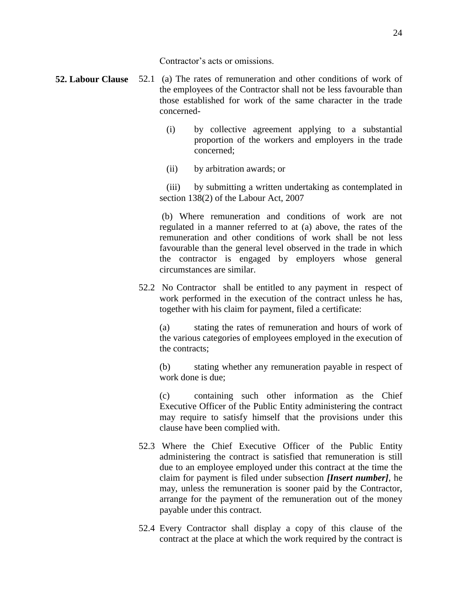Contractor's acts or omissions.

- **52. Labour Clause** 52.1 (a) The rates of remuneration and other conditions of work of the employees of the Contractor shall not be less favourable than those established for work of the same character in the trade concerned-
	- (i) by collective agreement applying to a substantial proportion of the workers and employers in the trade concerned;
	- (ii) by arbitration awards; or

(iii) by submitting a written undertaking as contemplated in section 138(2) of the Labour Act, 2007

 (b) Where remuneration and conditions of work are not regulated in a manner referred to at (a) above, the rates of the remuneration and other conditions of work shall be not less favourable than the general level observed in the trade in which the contractor is engaged by employers whose general circumstances are similar.

52.2 No Contractor shall be entitled to any payment in respect of work performed in the execution of the contract unless he has, together with his claim for payment, filed a certificate:

(a) stating the rates of remuneration and hours of work of the various categories of employees employed in the execution of the contracts;

(b) stating whether any remuneration payable in respect of work done is due;

(c) containing such other information as the Chief Executive Officer of the Public Entity administering the contract may require to satisfy himself that the provisions under this clause have been complied with.

- 52.3 Where the Chief Executive Officer of the Public Entity administering the contract is satisfied that remuneration is still due to an employee employed under this contract at the time the claim for payment is filed under subsection *[Insert number]*, he may, unless the remuneration is sooner paid by the Contractor, arrange for the payment of the remuneration out of the money payable under this contract.
- 52.4 Every Contractor shall display a copy of this clause of the contract at the place at which the work required by the contract is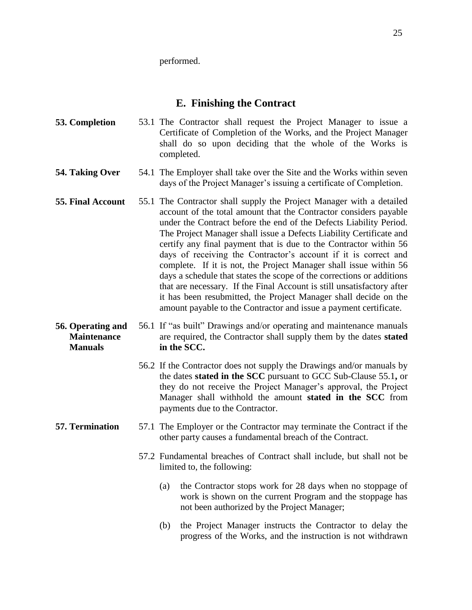performed.

#### **E. Finishing the Contract**

- **53. Completion** 53.1 The Contractor shall request the Project Manager to issue a Certificate of Completion of the Works, and the Project Manager shall do so upon deciding that the whole of the Works is completed.
- **54. Taking Over** 54.1 The Employer shall take over the Site and the Works within seven days of the Project Manager's issuing a certificate of Completion.
- **55. Final Account** 55.1 The Contractor shall supply the Project Manager with a detailed account of the total amount that the Contractor considers payable under the Contract before the end of the Defects Liability Period. The Project Manager shall issue a Defects Liability Certificate and certify any final payment that is due to the Contractor within 56 days of receiving the Contractor's account if it is correct and complete. If it is not, the Project Manager shall issue within 56 days a schedule that states the scope of the corrections or additions that are necessary. If the Final Account is still unsatisfactory after it has been resubmitted, the Project Manager shall decide on the amount payable to the Contractor and issue a payment certificate.

#### **56. Operating and Maintenance Manuals** 56.1 If "as built" Drawings and/or operating and maintenance manuals are required, the Contractor shall supply them by the dates **stated in the SCC.**

- 56.2 If the Contractor does not supply the Drawings and/or manuals by the dates **stated in the SCC** pursuant to GCC Sub-Clause 55.1**,** or they do not receive the Project Manager's approval, the Project Manager shall withhold the amount **stated in the SCC** from payments due to the Contractor.
- **57. Termination** 57.1 The Employer or the Contractor may terminate the Contract if the other party causes a fundamental breach of the Contract.
	- 57.2 Fundamental breaches of Contract shall include, but shall not be limited to, the following:
		- (a) the Contractor stops work for 28 days when no stoppage of work is shown on the current Program and the stoppage has not been authorized by the Project Manager;
		- (b) the Project Manager instructs the Contractor to delay the progress of the Works, and the instruction is not withdrawn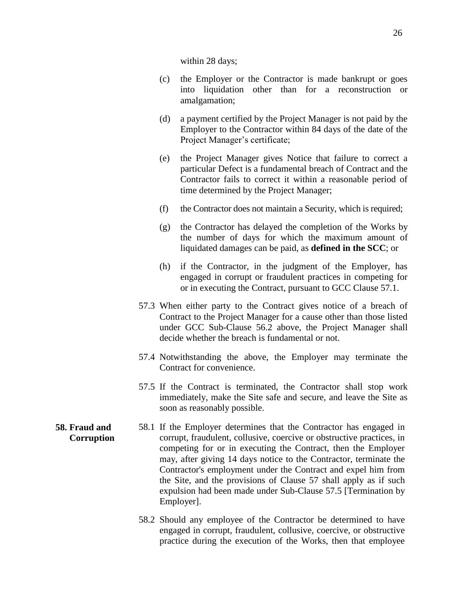within 28 days;

- (c) the Employer or the Contractor is made bankrupt or goes into liquidation other than for a reconstruction or amalgamation;
- (d) a payment certified by the Project Manager is not paid by the Employer to the Contractor within 84 days of the date of the Project Manager's certificate;
- (e) the Project Manager gives Notice that failure to correct a particular Defect is a fundamental breach of Contract and the Contractor fails to correct it within a reasonable period of time determined by the Project Manager;
- (f) the Contractor does not maintain a Security, which is required;
- (g) the Contractor has delayed the completion of the Works by the number of days for which the maximum amount of liquidated damages can be paid, as **defined in the SCC**; or
- (h) if the Contractor, in the judgment of the Employer, has engaged in corrupt or fraudulent practices in competing for or in executing the Contract, pursuant to GCC Clause 57.1.
- 57.3 When either party to the Contract gives notice of a breach of Contract to the Project Manager for a cause other than those listed under GCC Sub-Clause 56.2 above, the Project Manager shall decide whether the breach is fundamental or not.
- 57.4 Notwithstanding the above, the Employer may terminate the Contract for convenience.
- 57.5 If the Contract is terminated, the Contractor shall stop work immediately, make the Site safe and secure, and leave the Site as soon as reasonably possible.
- **58. Fraud and Corruption** 58.1 If the Employer determines that the Contractor has engaged in corrupt, fraudulent, collusive, coercive or obstructive practices, in competing for or in executing the Contract, then the Employer may, after giving 14 days notice to the Contractor, terminate the Contractor's employment under the Contract and expel him from the Site, and the provisions of Clause 57 shall apply as if such expulsion had been made under Sub-Clause 57.5 [Termination by Employer].
	- 58.2 Should any employee of the Contractor be determined to have engaged in corrupt, fraudulent, collusive, coercive, or obstructive practice during the execution of the Works, then that employee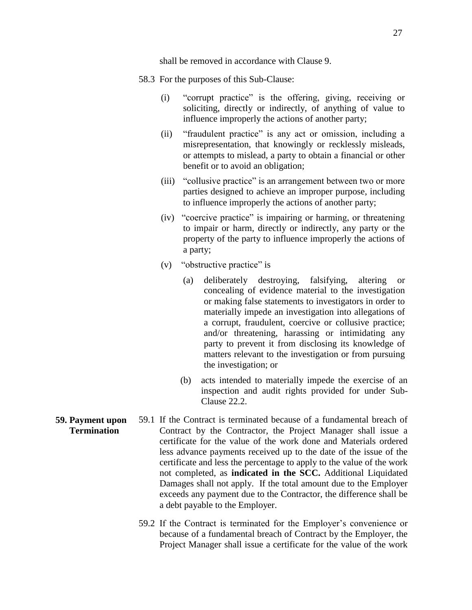shall be removed in accordance with Clause 9.

- 58.3 For the purposes of this Sub-Clause:
	- (i) "corrupt practice" is the offering, giving, receiving or soliciting, directly or indirectly, of anything of value to influence improperly the actions of another party;
	- (ii) "fraudulent practice" is any act or omission, including a misrepresentation, that knowingly or recklessly misleads, or attempts to mislead, a party to obtain a financial or other benefit or to avoid an obligation;
	- (iii) "collusive practice" is an arrangement between two or more parties designed to achieve an improper purpose, including to influence improperly the actions of another party;
	- (iv) "coercive practice" is impairing or harming, or threatening to impair or harm, directly or indirectly, any party or the property of the party to influence improperly the actions of a party;
	- (v) "obstructive practice" is
		- (a) deliberately destroying, falsifying, altering or concealing of evidence material to the investigation or making false statements to investigators in order to materially impede an investigation into allegations of a corrupt, fraudulent, coercive or collusive practice; and/or threatening, harassing or intimidating any party to prevent it from disclosing its knowledge of matters relevant to the investigation or from pursuing the investigation; or
		- (b) acts intended to materially impede the exercise of an inspection and audit rights provided for under Sub-Clause 22.2.
- **59. Payment upon Termination** 59.1 If the Contract is terminated because of a fundamental breach of Contract by the Contractor, the Project Manager shall issue a certificate for the value of the work done and Materials ordered less advance payments received up to the date of the issue of the certificate and less the percentage to apply to the value of the work not completed, as **indicated in the SCC.** Additional Liquidated Damages shall not apply. If the total amount due to the Employer exceeds any payment due to the Contractor, the difference shall be a debt payable to the Employer.
	- 59.2 If the Contract is terminated for the Employer's convenience or because of a fundamental breach of Contract by the Employer, the Project Manager shall issue a certificate for the value of the work